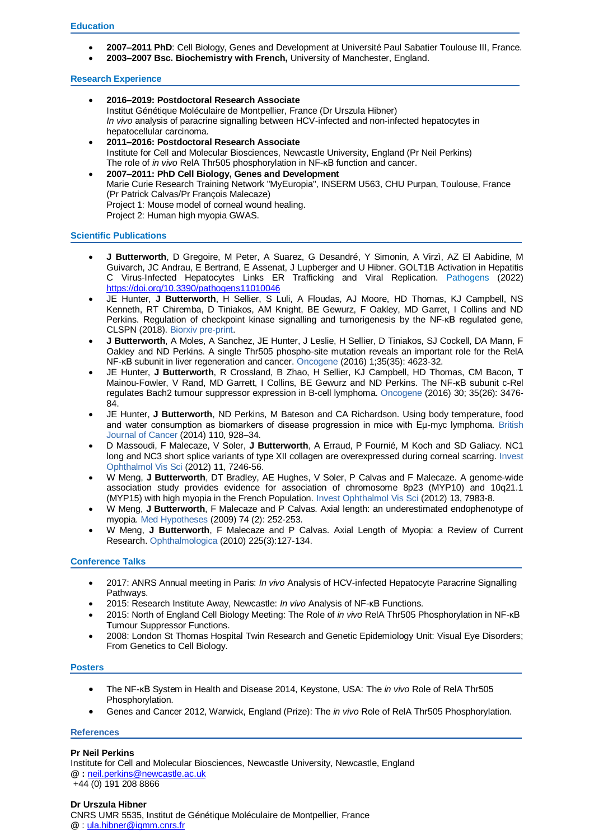- **2007–2011 PhD**: Cell Biology, Genes and Development at Université Paul Sabatier Toulouse III, France.
	- **2003–2007 Bsc. Biochemistry with French,** University of Manchester, England.

# **Research Experience**

- **2016–2019: Postdoctoral Research Associate**  Institut Génétique Moléculaire de Montpellier, France (Dr Urszula Hibner) *In vivo* analysis of paracrine signalling between HCV-infected and non-infected hepatocytes in hepatocellular carcinoma. **2011–2016: Postdoctoral Research Associate**
- Institute for Cell and Molecular Biosciences, Newcastle University, England (Pr Neil Perkins) The role of *in vivo* RelA Thr505 phosphorylation in NF-ĸB function and cancer.
- **2007–2011: PhD Cell Biology, Genes and Development** Marie Curie Research Training Network "MyEuropia", INSERM U563, CHU Purpan, Toulouse, France (Pr Patrick Calvas/Pr François Malecaze) Project 1: Mouse model of corneal wound healing. Project 2: Human high myopia GWAS.

# **Scientific Publications**

- **J Butterworth**, D Gregoire, M Peter, A Suarez, G Desandré, Y Simonin, A Virzì, AZ El Aabidine, M Guivarch, JC Andrau, E Bertrand, E Assenat, J Lupberger and U Hibner. GOLT1B Activation in Hepatitis C Virus-Infected Hepatocytes Links ER Trafficking and Viral Replication. Pathogens (2022) <https://doi.org/10.3390/pathogens11010046>
- JE Hunter, **J Butterworth**, H Sellier, S Luli, A Floudas, AJ Moore, HD Thomas, KJ Campbell, NS Kenneth, RT Chiremba, D Tiniakos, AM Knight, BE Gewurz, F Oakley, MD Garret, I Collins and ND Perkins. Regulation of checkpoint kinase signalling and tumorigenesis by the NF-κB regulated gene, CLSPN (2018). Biorxiv pre-print.
- **J Butterworth**, A Moles, A Sanchez, JE Hunter, J Leslie, H Sellier, D Tiniakos, SJ Cockell, DA Mann, F Oakley and ND Perkins. A single Thr505 phospho-site mutation reveals an important role for the RelA NF-κB subunit in liver regeneration and cancer. Oncogene (2016) 1;35(35): 4623-32.
- JE Hunter, **J Butterworth**, R Crossland, B Zhao, H Sellier, KJ Campbell, HD Thomas, CM Bacon, T Mainou-Fowler, V Rand, MD Garrett, I Collins, BE Gewurz and ND Perkins. The NF-κB subunit c-Rel regulates Bach2 tumour suppressor expression in B-cell lymphoma. Oncogene (2016) 30; 35(26): 3476- 84.
- [JE Hunter,](http://www.researchgate.net/researcher/2041755122_J_E_Hunter) **[J Butterworth](http://www.researchgate.net/researcher/2041753949_J_Butterworth)**, [ND Perkins,](http://www.researchgate.net/researcher/2041827035_N_D_Perkins) [M Bateson](http://www.researchgate.net/researcher/2041757023_M_Bateson) and [CA Richardson.](http://www.researchgate.net/researcher/2044131573_C_A_Richardson) Using body temperature, food and water consumption as biomarkers of disease progression in mice with Eμ-myc lymphoma. British Journal of Cancer (2014) 110, 928–34.
- D Massoudi, F Malecaze, V Soler, **J Butterworth**, A Erraud, P Fournié, M Koch and SD Galiacy. [NC1](http://www.ncbi.nlm.nih.gov/pubmed/22969073)  [long and NC3 short splice variants of type XII collagen are overexpressed during corneal scarring.](http://www.ncbi.nlm.nih.gov/pubmed/22969073) Invest Ophthalmol Vis Sci (2012) 11, 7246-56.
- W Meng, **J Butterworth**, DT Bradley, AE Hughes, V Soler, P Calvas and F Malecaze. A genome-wide association study provides evidence for association of chromosome 8p23 (MYP10) and 10q21.1 (MYP15) with high myopia in the French Population. Invest Ophthalmol Vis Sci (2012) 13, 7983-8.
- W Meng, **J Butterworth**, F Malecaze and P Calvas. Axial length: an underestimated endophenotype of myopia. Med Hypotheses (2009) 74 (2): 252-253.
- W Meng, **J Butterworth**, F Malecaze and P Calvas. Axial Length of Myopia: a Review of Current Research. Ophthalmologica (2010) 225(3):127-134.

### **Conference Talks**

- 2017: ANRS Annual meeting in Paris: *In vivo* Analysis of HCV-infected Hepatocyte Paracrine Signalling Pathways.
- 2015: Research Institute Away, Newcastle: *In vivo* Analysis of NF-κB Functions.
- 2015: North of England Cell Biology Meeting: The Role of *in vivo* RelA Thr505 Phosphorylation in NF-ĸB Tumour Suppressor Functions.
- 2008: London St Thomas Hospital Twin Research and Genetic Epidemiology Unit: Visual Eye Disorders; From Genetics to Cell Biology.

### **Posters**

- The NF-ĸB System in Health and Disease 2014, Keystone, USA: The *in vivo* Role of RelA Thr505 Phosphorylation.
- Genes and Cancer 2012, Warwick, England (Prize): The *in vivo* Role of RelA Thr505 Phosphorylation.

### **References**

### **Pr Neil Perkins**

Institute for Cell and Molecular Biosciences, Newcastle University, Newcastle, England **@ :** [neil.perkins@newcastle.ac.uk](mailto:neil.perkins@newcastle.ac.uk) +44 (0) 191 208 8866

# **Dr Urszula Hibner**

CNRS UMR 5535, Institut de Génétique Moléculaire de Montpellier, France **@** : [ula.hibner@igmm.cnrs.fr](mailto:ula.hibner@igmm.cnrs.fr)